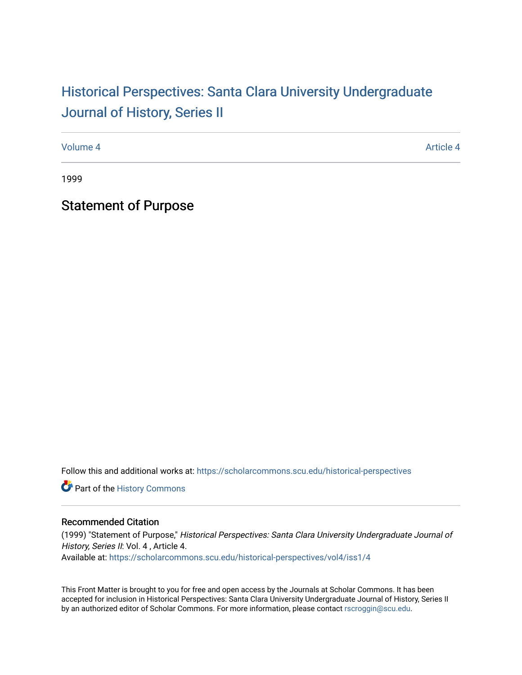## Historical Perspectiv[es: Santa Clara University Under](https://scholarcommons.scu.edu/historical-perspectives)graduate [Journal of History, Series II](https://scholarcommons.scu.edu/historical-perspectives)

[Volume 4](https://scholarcommons.scu.edu/historical-perspectives/vol4) Article 4

1999

Statement of Purpose

Follow this and additional works at: [https://scholarcommons.scu.edu/historical-perspectives](https://scholarcommons.scu.edu/historical-perspectives?utm_source=scholarcommons.scu.edu%2Fhistorical-perspectives%2Fvol4%2Fiss1%2F4&utm_medium=PDF&utm_campaign=PDFCoverPages) 

Part of the [History Commons](http://network.bepress.com/hgg/discipline/489?utm_source=scholarcommons.scu.edu%2Fhistorical-perspectives%2Fvol4%2Fiss1%2F4&utm_medium=PDF&utm_campaign=PDFCoverPages) 

## Recommended Citation

(1999) "Statement of Purpose," Historical Perspectives: Santa Clara University Undergraduate Journal of History, Series II: Vol. 4, Article 4. Available at: [https://scholarcommons.scu.edu/historical-perspectives/vol4/iss1/4](https://scholarcommons.scu.edu/historical-perspectives/vol4/iss1/4?utm_source=scholarcommons.scu.edu%2Fhistorical-perspectives%2Fvol4%2Fiss1%2F4&utm_medium=PDF&utm_campaign=PDFCoverPages) 

This Front Matter is brought to you for free and open access by the Journals at Scholar Commons. It has been accepted for inclusion in Historical Perspectives: Santa Clara University Undergraduate Journal of History, Series II by an authorized editor of Scholar Commons. For more information, please contact [rscroggin@scu.edu.](mailto:rscroggin@scu.edu)